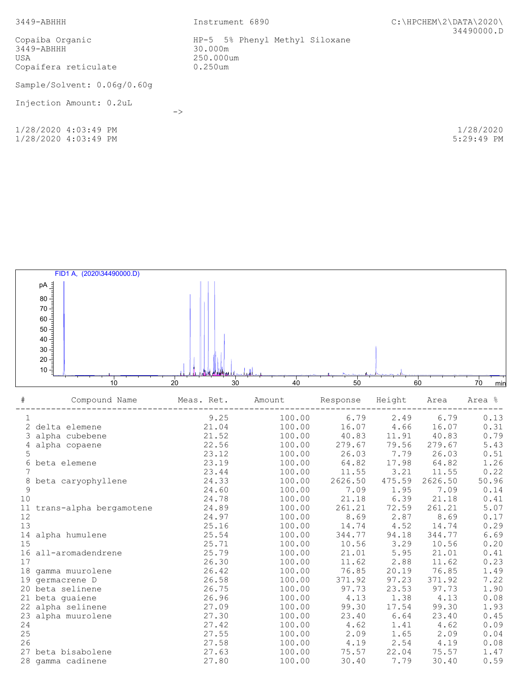| $3449 - ABHHH$                                                   | Instrument 6890                                                      | $C:\HPCHEM\2\DATA\2020\$<br>34490000.D |
|------------------------------------------------------------------|----------------------------------------------------------------------|----------------------------------------|
| Copaiba Organic<br>$3449 - ABHHH$<br>USA<br>Copaifera reticulate | HP-5 5% Phenyl Methyl Siloxane<br>30.000m<br>250.000um<br>$0.250$ um |                                        |
| Sample/Solvent: 0.06g/0.60g                                      |                                                                      |                                        |
| Injection Amount: 0.2uL                                          | $\rightarrow$                                                        |                                        |
| 1/28/2020 4:03:49 PM<br>1/28/2020 4:03:49 PM                     |                                                                      | 1/28/2020<br>$5:29:49$ PM              |

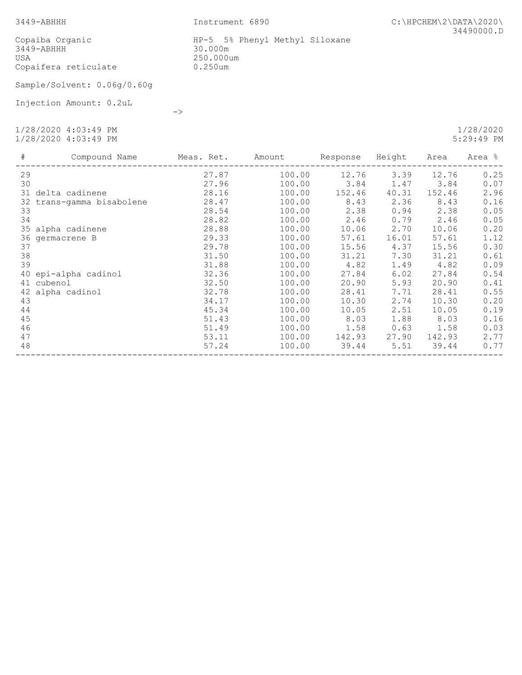3449-ABHHH Instrument 6890 C:\HPCHEM\2\DATA\2020\ 34490000.D

 Copaiba Organic HP-5 5% Phenyl Methyl Siloxane 3449-ABHHH 30.000m USA 250.000um Copaifera reticulate 0.250um

Sample/Solvent: 0.06g/0.60g

->

Injection Amount: 0.2uL

 1/28/2020 4:03:49 PM 1/28/2020 1/28/2020 4:03:49 PM 5:29:49 PM

 # Compound Name Meas. Ret. Amount Response Height Area Area % ------------------------------------------------------------------------------------------------ 29 27.87 100.00 12.76 3.39 12.76 0.25 30 27.96 100.00 3.84 1.47 3.84 0.07 31 delta cadinene 28.16 100.00 152.46 40.31 152.46 2.96 32 trans-gamma bisabolene 28.47 100.00 8.43 2.36 8.43 0.16 33 28.54 100.00 2.38 0.94 2.38 0.05 34 28.82 100.00 2.46 0.79 2.46 0.05 35 alpha cadinene 28.88 100.00 10.06 2.70 10.06 0.20 36 germacrene B 29.33 100.00 57.61 16.01 57.61 1.12 37 29.78 100.00 15.56 4.37 15.56 0.30 38 31.50 100.00 31.21 7.30 31.21 0.61 39 31.88 100.00 4.82 1.49 4.82 0.09 40 epi-alpha cadinol 32.36 100.00 27.84 6.02 27.84 0.54 41 cubenol 32.50 100.00 20.90 5.93 20.90 0.41 42 alpha cadinol 32.78 100.00 28.41 7.71 28.41 0.55 43 34.17 100.00 10.30 2.74 10.30 0.20 44 45.34 100.00 10.05 2.51 10.05 0.19 45 51.43 100.00 8.03 1.88 8.03 0.16 46 51.49 100.00 1.58 0.63 1.58 0.03 47 53.11 100.00 142.93 27.90 142.93 2.77 48 57.24 100.00 39.44 5.51 39.44 0.77 ------------------------------------------------------------------------------------------------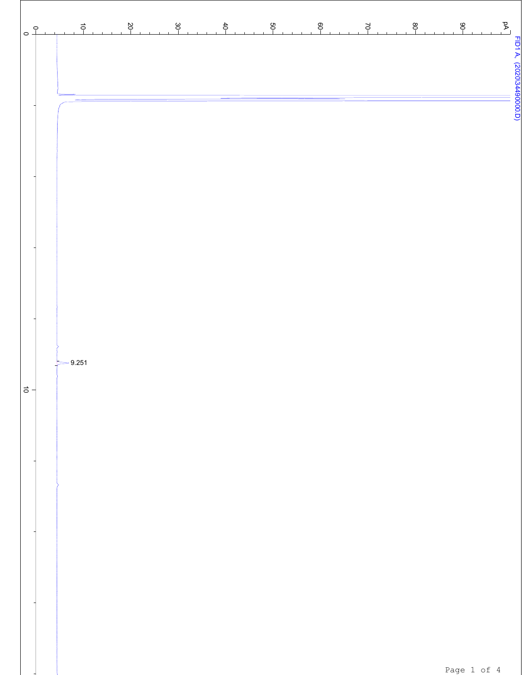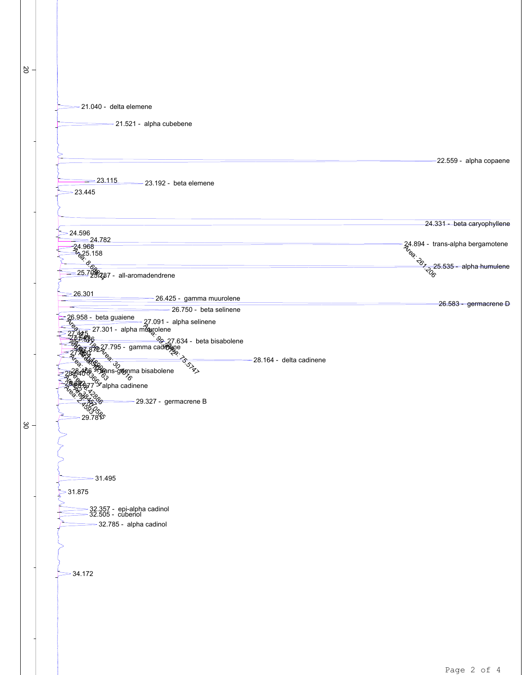20  $\frac{8}{2}$ **AT-094-1**  $\frac{4}{3}$  25.158<br>  $\frac{6}{3}$ <br>  $= 25.798$  $\frac{7}{27.301}$ <br>  $\frac{27.091}{27.445}$ <br>  $\frac{27.301}{49.301}$  alpha music energy equation of  $\frac{27}{27.301}$  $-2.2$ <br> $-2.7$ <br> $-2.46$ <br> $-3.86$ <br> $-3.86$ <br> $-2.46$ 6  $\frac{28}{30}$ <br>  $\frac{35}{30}$ <br>  $\frac{35}{30}$ <br>  $\frac{35}{30}$  $\frac{1}{2}$ BATO 85  $\mathcal{J}_\mathcal{R}$  $\overline{\mathcal{A}}$ East 2.5 000 21.040 - delta elemene  $-21.521$  - alpha cubebene -22.559 - alpha copaene = 23.115 23.192 - beta elemene  $= 23.445$  24.331 - beta caryophyllene  $24.596$ <br> $24.782$ <u>224.782</u><br>24.968 224.968 224.968 224.968 224.968 224.968 224.968 224.968 224.968 224.968 224.968 224.968 224.968 224.968 25.535 - alpha humulene <u>25.798287 - all-aromadendrene</u><br>25.798287 - all-aromadendrene 26.301 26.425 - gamma muurolene 26.583 - germacrene D 26.750 - beta selinene 26.958 - beta guaiene - 27.091 - alpha selinene<br>28. - 27.301 - alpha magnolene<br>27.4<del>45</del>  $\frac{28}{27.45}$  27.301 - alpha mv/wolene<br>27.445 27.301 - alpha mv/wolene<br>22.576 27.577 27.634 - beta bisabolene  $\frac{27.795}{27.880}$   $\frac{27.795}{27.880}$   $\frac{27.795}{27.80}$  28.164 - delta cadinene 28.64066 <sup>551</sup> Pans-gamma bisabolene 28.822<sub>877</sub>% alpha cadinene 29.327 - germacrene B 29.781 31.495 31.875 32.357 - epi-alpha cadinol 32.505 - cubenol -32.785 - alpha cadinol  $-34.172$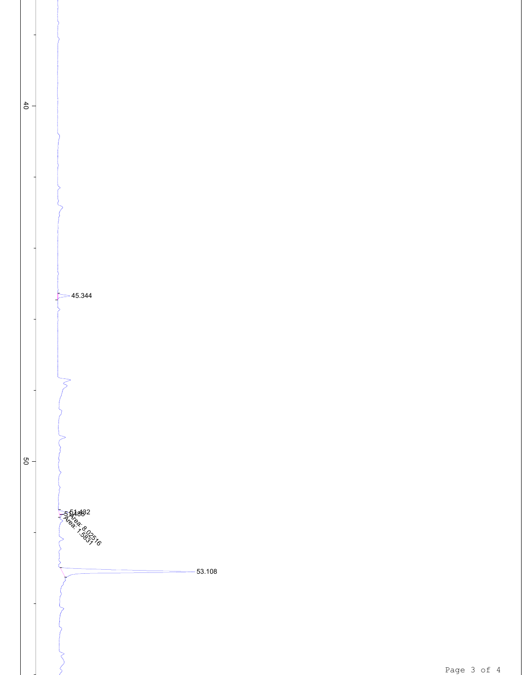

 $-40$